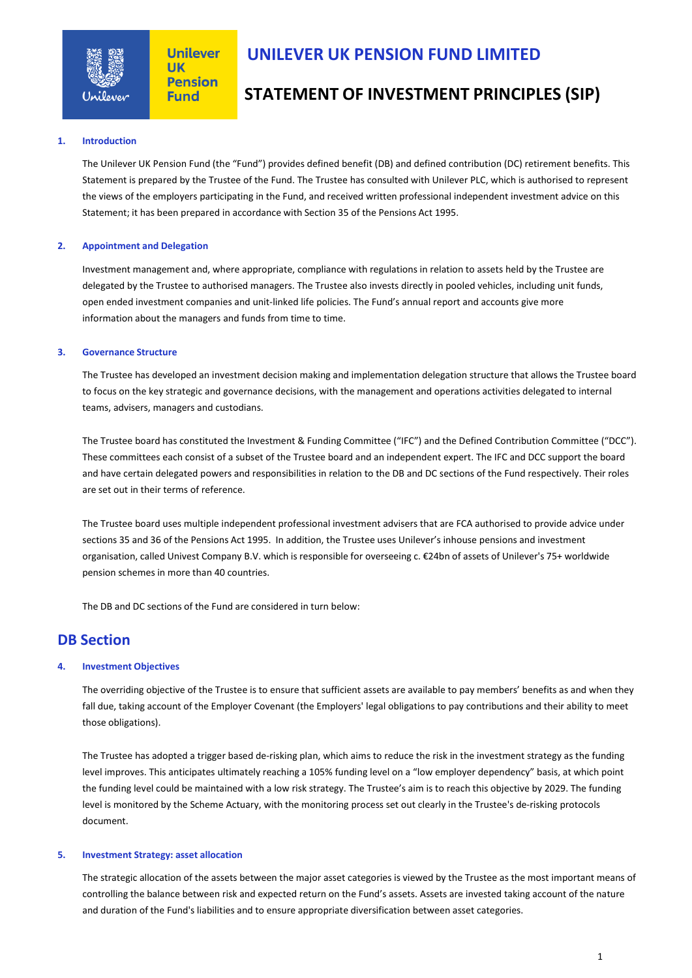

## **UNILEVER UK PENSION FUND LIMITED**

# **STATEMENT OF INVESTMENT PRINCIPLES (SIP)**

### **1. Introduction**

The Unilever UK Pension Fund (the "Fund") provides defined benefit (DB) and defined contribution (DC) retirement benefits. This Statement is prepared by the Trustee of the Fund. The Trustee has consulted with Unilever PLC, which is authorised to represent the views of the employers participating in the Fund, and received written professional independent investment advice on this Statement; it has been prepared in accordance with Section 35 of the Pensions Act 1995.

### **2. Appointment and Delegation**

Investment management and, where appropriate, compliance with regulations in relation to assets held by the Trustee are delegated by the Trustee to authorised managers. The Trustee also invests directly in pooled vehicles, including unit funds, open ended investment companies and unit-linked life policies. The Fund's annual report and accounts give more information about the managers and funds from time to time.

### **3. Governance Structure**

The Trustee has developed an investment decision making and implementation delegation structure that allows the Trustee board to focus on the key strategic and governance decisions, with the management and operations activities delegated to internal teams, advisers, managers and custodians.

The Trustee board has constituted the Investment & Funding Committee ("IFC") and the Defined Contribution Committee ("DCC"). These committees each consist of a subset of the Trustee board and an independent expert. The IFC and DCC support the board and have certain delegated powers and responsibilities in relation to the DB and DC sections of the Fund respectively. Their roles are set out in their terms of reference.

The Trustee board uses multiple independent professional investment advisers that are FCA authorised to provide advice under sections 35 and 36 of the Pensions Act 1995. In addition, the Trustee uses Unilever's inhouse pensions and investment organisation, called Univest Company B.V. which is responsible for overseeing c. €24bn of assets of Unilever's 75+ worldwide pension schemes in more than 40 countries.

The DB and DC sections of the Fund are considered in turn below:

## **DB Section**

### **4. Investment Objectives**

The overriding objective of the Trustee is to ensure that sufficient assets are available to pay members' benefits as and when they fall due, taking account of the Employer Covenant (the Employers' legal obligations to pay contributions and their ability to meet those obligations).

The Trustee has adopted a trigger based de-risking plan, which aims to reduce the risk in the investment strategy as the funding level improves. This anticipates ultimately reaching a 105% funding level on a "low employer dependency" basis, at which point the funding level could be maintained with a low risk strategy. The Trustee's aim is to reach this objective by 2029. The funding level is monitored by the Scheme Actuary, with the monitoring process set out clearly in the Trustee's de-risking protocols document.

#### **5. Investment Strategy: asset allocation**

The strategic allocation of the assets between the major asset categories is viewed by the Trustee as the most important means of controlling the balance between risk and expected return on the Fund's assets. Assets are invested taking account of the nature and duration of the Fund's liabilities and to ensure appropriate diversification between asset categories.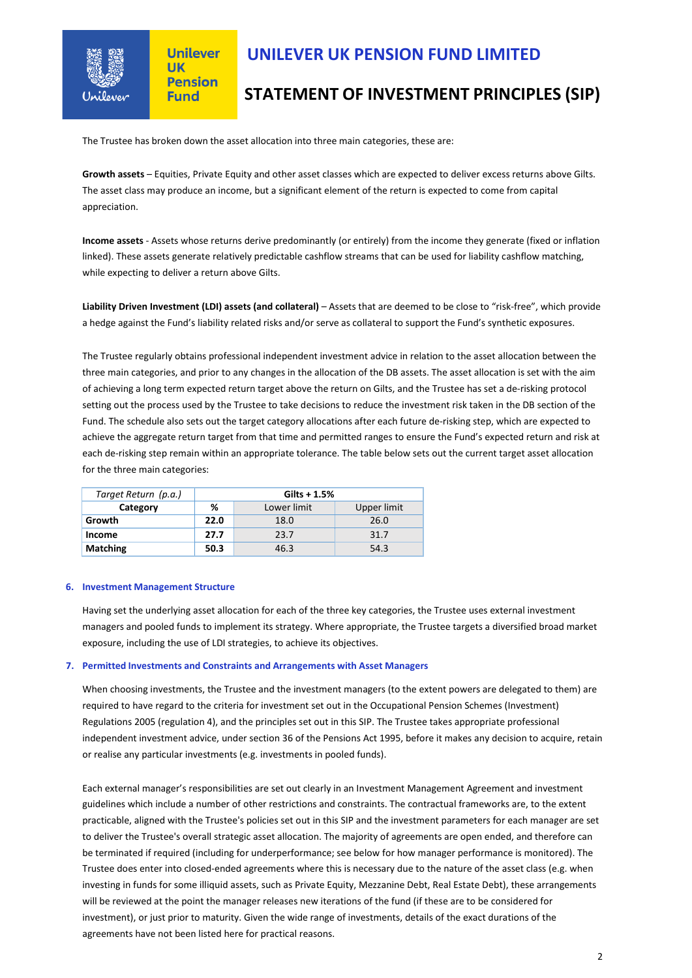

## **UNILEVER UK PENSION FUND LIMITED**

# **STATEMENT OF INVESTMENT PRINCIPLES (SIP)**

The Trustee has broken down the asset allocation into three main categories, these are:

**Growth assets** – Equities, Private Equity and other asset classes which are expected to deliver excess returns above Gilts. The asset class may produce an income, but a significant element of the return is expected to come from capital appreciation.

**Income assets** - Assets whose returns derive predominantly (or entirely) from the income they generate (fixed or inflation linked). These assets generate relatively predictable cashflow streams that can be used for liability cashflow matching, while expecting to deliver a return above Gilts.

Liability Driven Investment (LDI) assets (and collateral) - Assets that are deemed to be close to "risk-free", which provide a hedge against the Fund's liability related risks and/or serve as collateral to support the Fund's synthetic exposures.

The Trustee regularly obtains professional independent investment advice in relation to the asset allocation between the three main categories, and prior to any changes in the allocation of the DB assets. The asset allocation is set with the aim of achieving a long term expected return target above the return on Gilts, and the Trustee has set a de-risking protocol setting out the process used by the Trustee to take decisions to reduce the investment risk taken in the DB section of the Fund. The schedule also sets out the target category allocations after each future de-risking step, which are expected to achieve the aggregate return target from that time and permitted ranges to ensure the Fund's expected return and risk at each de-risking step remain within an appropriate tolerance. The table below sets out the current target asset allocation for the three main categories:

| Target Return (p.a.) | $Gilts + 1.5%$ |             |             |
|----------------------|----------------|-------------|-------------|
| Category             | ℅              | Lower limit | Upper limit |
| Growth               | 22.0           | 18.0        | 26.0        |
| Income               | 27.7           | 23.7        | 31.7        |
| <b>Matching</b>      | 50.3           | 46.3        | 54.3        |

#### **6. Investment Management Structure**

Having set the underlying asset allocation for each of the three key categories, the Trustee uses external investment managers and pooled funds to implement its strategy. Where appropriate, the Trustee targets a diversified broad market exposure, including the use of LDI strategies, to achieve its objectives.

#### **7. Permitted Investments and Constraints and Arrangements with Asset Managers**

When choosing investments, the Trustee and the investment managers (to the extent powers are delegated to them) are required to have regard to the criteria for investment set out in the Occupational Pension Schemes (Investment) Regulations 2005 (regulation 4), and the principles set out in this SIP. The Trustee takes appropriate professional independent investment advice, under section 36 of the Pensions Act 1995, before it makes any decision to acquire, retain or realise any particular investments (e.g. investments in pooled funds).

Each external manager's responsibilities are set out clearly in an Investment Management Agreement and investment guidelines which include a number of other restrictions and constraints. The contractual frameworks are, to the extent practicable, aligned with the Trustee's policies set out in this SIP and the investment parameters for each manager are set to deliver the Trustee's overall strategic asset allocation. The majority of agreements are open ended, and therefore can be terminated if required (including for underperformance; see below for how manager performance is monitored). The Trustee does enter into closed-ended agreements where this is necessary due to the nature of the asset class (e.g. when investing in funds for some illiquid assets, such as Private Equity, Mezzanine Debt, Real Estate Debt), these arrangements will be reviewed at the point the manager releases new iterations of the fund (if these are to be considered for investment), or just prior to maturity. Given the wide range of investments, details of the exact durations of the agreements have not been listed here for practical reasons.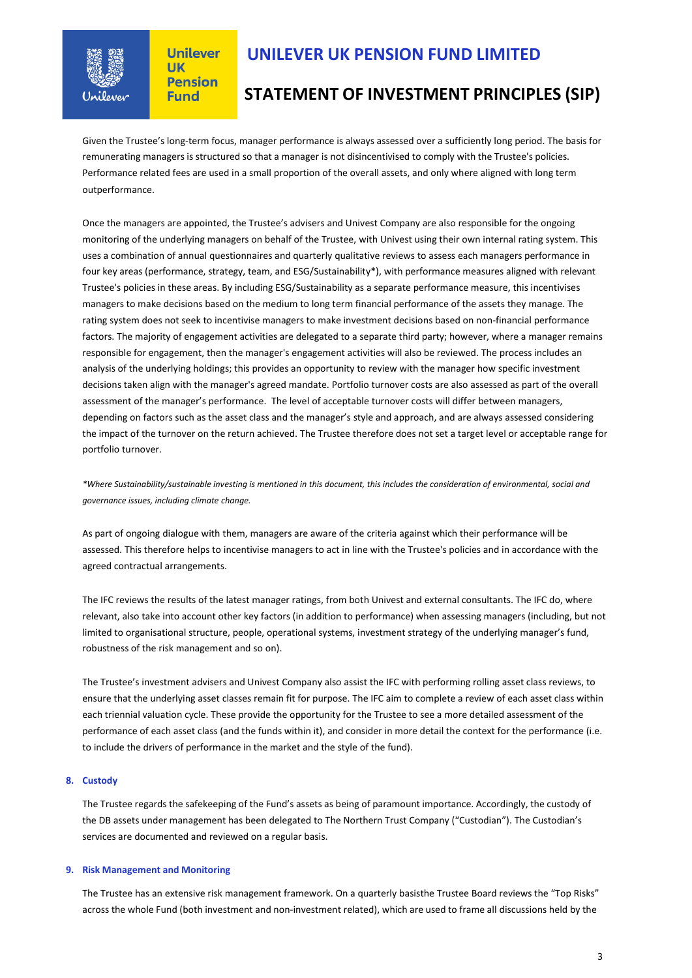

## **UNILEVER UK PENSION FUND LIMITED**

# **STATEMENT OF INVESTMENT PRINCIPLES (SIP)**

Given the Trustee's long-term focus, manager performance is always assessed over a sufficiently long period. The basis for remunerating managers is structured so that a manager is not disincentivised to comply with the Trustee's policies. Performance related fees are used in a small proportion of the overall assets, and only where aligned with long term outperformance.

Once the managers are appointed, the Trustee's advisers and Univest Company are also responsible for the ongoing monitoring of the underlying managers on behalf of the Trustee, with Univest using their own internal rating system. This uses a combination of annual questionnaires and quarterly qualitative reviews to assess each managers performance in four key areas (performance, strategy, team, and ESG/Sustainability\*), with performance measures aligned with relevant Trustee's policies in these areas. By including ESG/Sustainability as a separate performance measure, this incentivises managers to make decisions based on the medium to long term financial performance of the assets they manage. The rating system does not seek to incentivise managers to make investment decisions based on non-financial performance factors. The majority of engagement activities are delegated to a separate third party; however, where a manager remains responsible for engagement, then the manager's engagement activities will also be reviewed. The process includes an analysis of the underlying holdings; this provides an opportunity to review with the manager how specific investment decisions taken align with the manager's agreed mandate. Portfolio turnover costs are also assessed as part of the overall assessment of the manager's performance. The level of acceptable turnover costs will differ between managers, depending on factors such as the asset class and the manager's style and approach, and are always assessed considering the impact of the turnover on the return achieved. The Trustee therefore does not set a target level or acceptable range for portfolio turnover.

*\*Where Sustainability/sustainable investing is mentioned in this document, this includes the consideration of environmental, social and governance issues, including climate change.*

As part of ongoing dialogue with them, managers are aware of the criteria against which their performance will be assessed. This therefore helps to incentivise managers to act in line with the Trustee's policies and in accordance with the agreed contractual arrangements.

The IFC reviews the results of the latest manager ratings, from both Univest and external consultants. The IFC do, where relevant, also take into account other key factors (in addition to performance) when assessing managers (including, but not limited to organisational structure, people, operational systems, investment strategy of the underlying manager's fund, robustness of the risk management and so on).

The Trustee's investment advisers and Univest Company also assist the IFC with performing rolling asset class reviews, to ensure that the underlying asset classes remain fit for purpose. The IFC aim to complete a review of each asset class within each triennial valuation cycle. These provide the opportunity for the Trustee to see a more detailed assessment of the performance of each asset class (and the funds within it), and consider in more detail the context for the performance (i.e. to include the drivers of performance in the market and the style of the fund).

### **8. Custody**

The Trustee regards the safekeeping of the Fund's assets as being of paramount importance. Accordingly, the custody of the DB assets under management has been delegated to The Northern Trust Company ("Custodian"). The Custodian's services are documented and reviewed on a regular basis.

### **9. Risk Management and Monitoring**

The Trustee has an extensive risk management framework. On a quarterly basisthe Trustee Board reviews the "Top Risks" across the whole Fund (both investment and non-investment related), which are used to frame all discussions held by the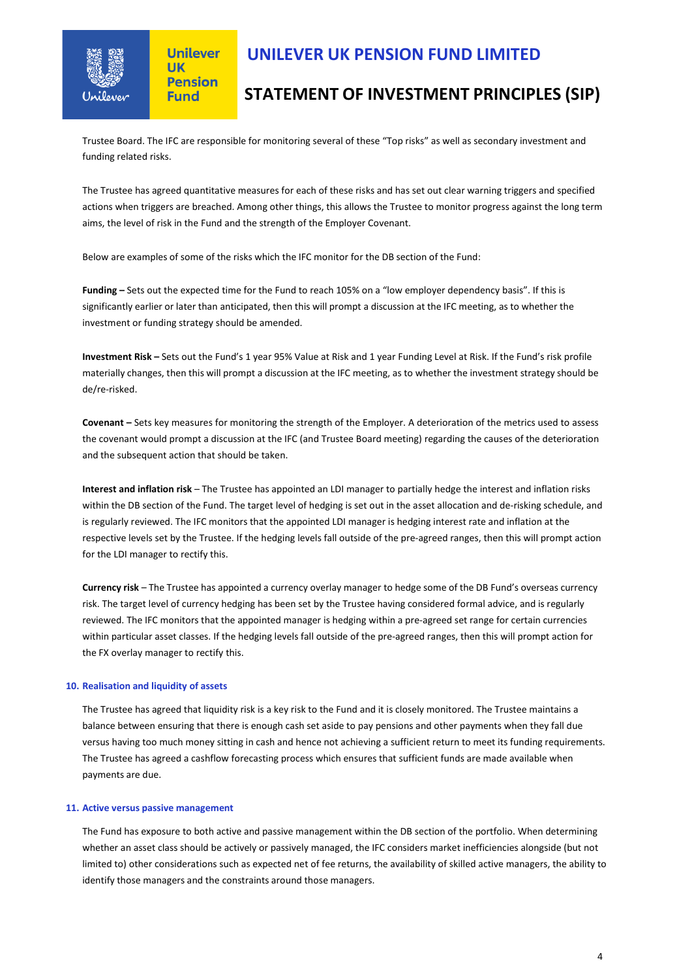

# **UNILEVER UK PENSION FUND LIMITED**

# **STATEMENT OF INVESTMENT PRINCIPLES (SIP)**

Trustee Board. The IFC are responsible for monitoring several of these "Top risks" as well as secondary investment and funding related risks.

The Trustee has agreed quantitative measures for each of these risks and has set out clear warning triggers and specified actions when triggers are breached. Among other things, this allows the Trustee to monitor progress against the long term aims, the level of risk in the Fund and the strength of the Employer Covenant.

Below are examples of some of the risks which the IFC monitor for the DB section of the Fund:

**Funding –** Sets out the expected time for the Fund to reach 105% on a "low employer dependency basis". If this is significantly earlier or later than anticipated, then this will prompt a discussion at the IFC meeting, as to whether the investment or funding strategy should be amended.

**Investment Risk –** Sets out the Fund's 1 year 95% Value at Risk and 1 year Funding Level at Risk. If the Fund's risk profile materially changes, then this will prompt a discussion at the IFC meeting, as to whether the investment strategy should be de/re-risked.

**Covenant –** Sets key measures for monitoring the strength of the Employer. A deterioration of the metrics used to assess the covenant would prompt a discussion at the IFC (and Trustee Board meeting) regarding the causes of the deterioration and the subsequent action that should be taken.

**Interest and inflation risk** – The Trustee has appointed an LDI manager to partially hedge the interest and inflation risks within the DB section of the Fund. The target level of hedging is set out in the asset allocation and de-risking schedule, and is regularly reviewed. The IFC monitors that the appointed LDI manager is hedging interest rate and inflation at the respective levels set by the Trustee. If the hedging levels fall outside of the pre-agreed ranges, then this will prompt action for the LDI manager to rectify this.

**Currency risk** – The Trustee has appointed a currency overlay manager to hedge some of the DB Fund's overseas currency risk. The target level of currency hedging has been set by the Trustee having considered formal advice, and is regularly reviewed. The IFC monitors that the appointed manager is hedging within a pre-agreed set range for certain currencies within particular asset classes. If the hedging levels fall outside of the pre-agreed ranges, then this will prompt action for the FX overlay manager to rectify this.

### **10. Realisation and liquidity of assets**

The Trustee has agreed that liquidity risk is a key risk to the Fund and it is closely monitored. The Trustee maintains a balance between ensuring that there is enough cash set aside to pay pensions and other payments when they fall due versus having too much money sitting in cash and hence not achieving a sufficient return to meet its funding requirements. The Trustee has agreed a cashflow forecasting process which ensures that sufficient funds are made available when payments are due.

### **11. Active versus passive management**

The Fund has exposure to both active and passive management within the DB section of the portfolio. When determining whether an asset class should be actively or passively managed, the IFC considers market inefficiencies alongside (but not limited to) other considerations such as expected net of fee returns, the availability of skilled active managers, the ability to identify those managers and the constraints around those managers.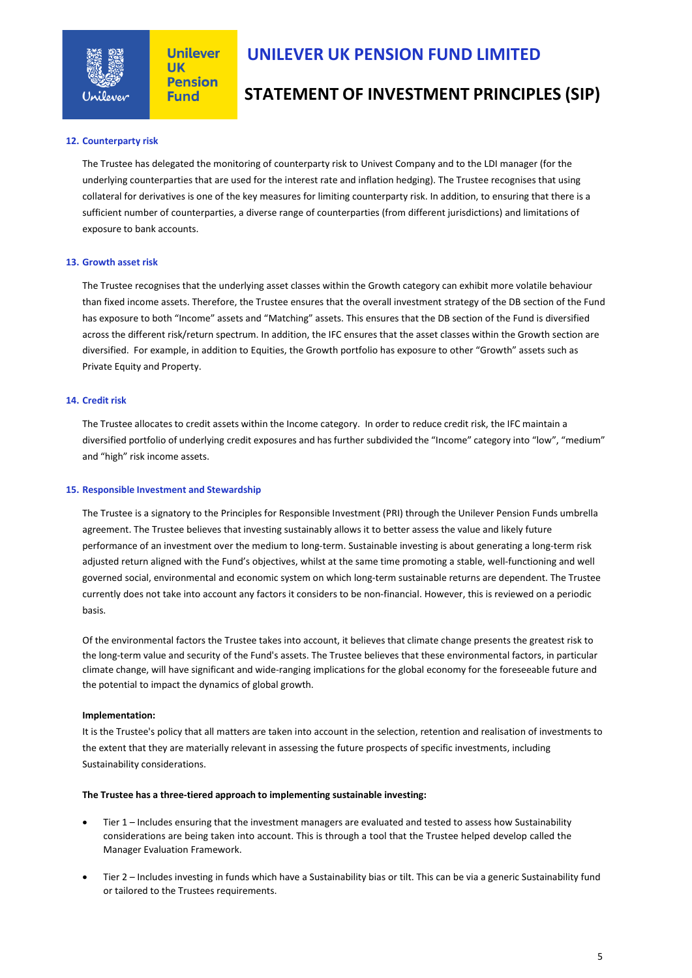

# **UNILEVER UK PENSION FUND LIMITED**

# **STATEMENT OF INVESTMENT PRINCIPLES (SIP)**

### **12. Counterparty risk**

The Trustee has delegated the monitoring of counterparty risk to Univest Company and to the LDI manager (for the underlying counterparties that are used for the interest rate and inflation hedging). The Trustee recognises that using collateral for derivatives is one of the key measures for limiting counterparty risk. In addition, to ensuring that there is a sufficient number of counterparties, a diverse range of counterparties (from different jurisdictions) and limitations of exposure to bank accounts.

### **13. Growth asset risk**

The Trustee recognises that the underlying asset classes within the Growth category can exhibit more volatile behaviour than fixed income assets. Therefore, the Trustee ensures that the overall investment strategy of the DB section of the Fund has exposure to both "Income" assets and "Matching" assets. This ensures that the DB section of the Fund is diversified across the different risk/return spectrum. In addition, the IFC ensures that the asset classes within the Growth section are diversified. For example, in addition to Equities, the Growth portfolio has exposure to other "Growth" assets such as Private Equity and Property.

### **14. Credit risk**

The Trustee allocates to credit assets within the Income category. In order to reduce credit risk, the IFC maintain a diversified portfolio of underlying credit exposures and has further subdivided the "Income" category into "low", "medium" and "high" risk income assets.

### **15. Responsible Investment and Stewardship**

The Trustee is a signatory to the Principles for Responsible Investment (PRI) through the Unilever Pension Funds umbrella agreement. The Trustee believes that investing sustainably allows it to better assess the value and likely future performance of an investment over the medium to long-term. Sustainable investing is about generating a long-term risk adjusted return aligned with the Fund's objectives, whilst at the same time promoting a stable, well-functioning and well governed social, environmental and economic system on which long-term sustainable returns are dependent. The Trustee currently does not take into account any factors it considers to be non-financial. However, this is reviewed on a periodic basis.

Of the environmental factors the Trustee takes into account, it believes that climate change presents the greatest risk to the long-term value and security of the Fund's assets. The Trustee believes that these environmental factors, in particular climate change, will have significant and wide-ranging implications for the global economy for the foreseeable future and the potential to impact the dynamics of global growth.

### **Implementation:**

It is the Trustee's policy that all matters are taken into account in the selection, retention and realisation of investments to the extent that they are materially relevant in assessing the future prospects of specific investments, including Sustainability considerations.

### **The Trustee has a three-tiered approach to implementing sustainable investing:**

- Tier 1 Includes ensuring that the investment managers are evaluated and tested to assess how Sustainability considerations are being taken into account. This is through a tool that the Trustee helped develop called the Manager Evaluation Framework.
- Tier 2 Includes investing in funds which have a Sustainability bias or tilt. This can be via a generic Sustainability fund or tailored to the Trustees requirements.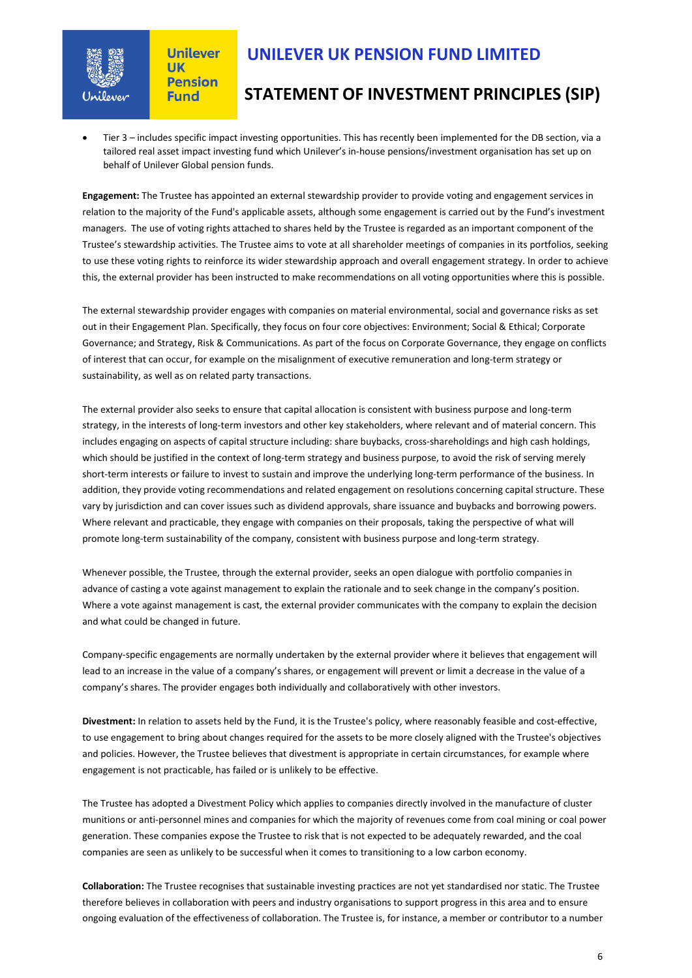

# **UNILEVER UK PENSION FUND LIMITED**

# **STATEMENT OF INVESTMENT PRINCIPLES (SIP)**

• Tier 3 – includes specific impact investing opportunities. This has recently been implemented for the DB section, via a tailored real asset impact investing fund which Unilever's in-house pensions/investment organisation has set up on behalf of Unilever Global pension funds.

**Engagement:** The Trustee has appointed an external stewardship provider to provide voting and engagement services in relation to the majority of the Fund's applicable assets, although some engagement is carried out by the Fund's investment managers. The use of voting rights attached to shares held by the Trustee is regarded as an important component of the Trustee's stewardship activities. The Trustee aims to vote at all shareholder meetings of companies in its portfolios, seeking to use these voting rights to reinforce its wider stewardship approach and overall engagement strategy. In order to achieve this, the external provider has been instructed to make recommendations on all voting opportunities where this is possible.

The external stewardship provider engages with companies on material environmental, social and governance risks as set out in their Engagement Plan. Specifically, they focus on four core objectives: Environment; Social & Ethical; Corporate Governance; and Strategy, Risk & Communications. As part of the focus on Corporate Governance, they engage on conflicts of interest that can occur, for example on the misalignment of executive remuneration and long-term strategy or sustainability, as well as on related party transactions.

The external provider also seeks to ensure that capital allocation is consistent with business purpose and long-term strategy, in the interests of long-term investors and other key stakeholders, where relevant and of material concern. This includes engaging on aspects of capital structure including: share buybacks, cross-shareholdings and high cash holdings, which should be justified in the context of long-term strategy and business purpose, to avoid the risk of serving merely short-term interests or failure to invest to sustain and improve the underlying long-term performance of the business. In addition, they provide voting recommendations and related engagement on resolutions concerning capital structure. These vary by jurisdiction and can cover issues such as dividend approvals, share issuance and buybacks and borrowing powers. Where relevant and practicable, they engage with companies on their proposals, taking the perspective of what will promote long-term sustainability of the company, consistent with business purpose and long-term strategy.

Whenever possible, the Trustee, through the external provider, seeks an open dialogue with portfolio companies in advance of casting a vote against management to explain the rationale and to seek change in the company's position. Where a vote against management is cast, the external provider communicates with the company to explain the decision and what could be changed in future.

Company-specific engagements are normally undertaken by the external provider where it believes that engagement will lead to an increase in the value of a company's shares, or engagement will prevent or limit a decrease in the value of a company's shares. The provider engages both individually and collaboratively with other investors.

**Divestment:** In relation to assets held by the Fund, it is the Trustee's policy, where reasonably feasible and cost-effective, to use engagement to bring about changes required for the assets to be more closely aligned with the Trustee's objectives and policies. However, the Trustee believes that divestment is appropriate in certain circumstances, for example where engagement is not practicable, has failed or is unlikely to be effective.

The Trustee has adopted a Divestment Policy which applies to companies directly involved in the manufacture of cluster munitions or anti-personnel mines and companies for which the majority of revenues come from coal mining or coal power generation. These companies expose the Trustee to risk that is not expected to be adequately rewarded, and the coal companies are seen as unlikely to be successful when it comes to transitioning to a low carbon economy.

**Collaboration:** The Trustee recognises that sustainable investing practices are not yet standardised nor static. The Trustee therefore believes in collaboration with peers and industry organisations to support progress in this area and to ensure ongoing evaluation of the effectiveness of collaboration. The Trustee is, for instance, a member or contributor to a number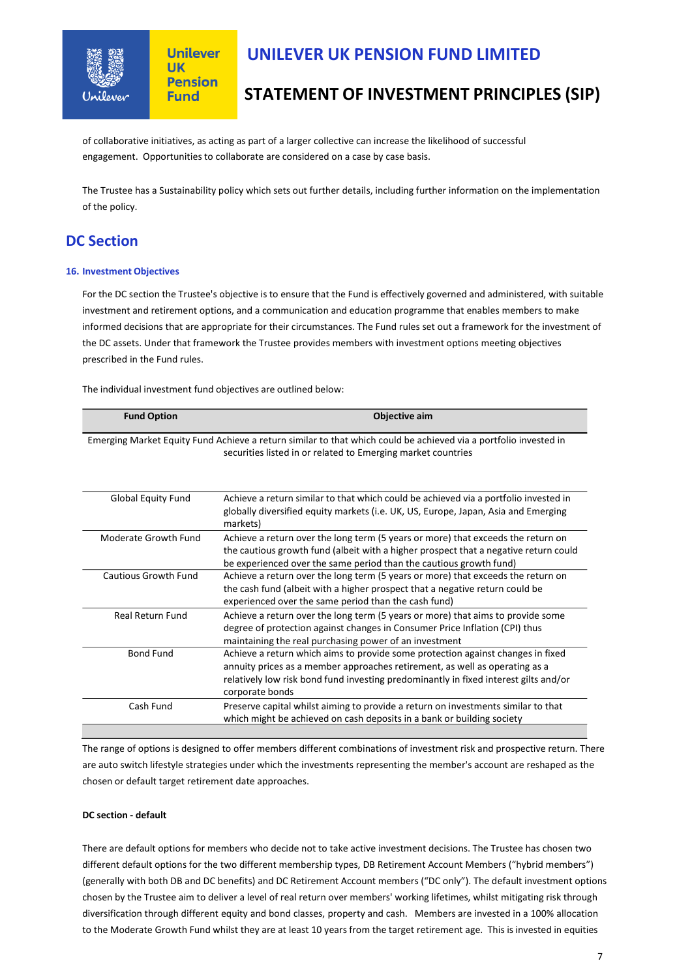

# **UNILEVER UK PENSION FUND LIMITED**

# **STATEMENT OF INVESTMENT PRINCIPLES (SIP)**

of collaborative initiatives, as acting as part of a larger collective can increase the likelihood of successful engagement. Opportunities to collaborate are considered on a case by case basis.

The Trustee has a Sustainability policy which sets out further details, including further information on the implementation of the policy.

## **DC Section**

### **16. Investment Objectives**

For the DC section the Trustee's objective is to ensure that the Fund is effectively governed and administered, with suitable investment and retirement options, and a communication and education programme that enables members to make informed decisions that are appropriate for their circumstances. The Fund rules set out a framework for the investment of the DC assets. Under that framework the Trustee provides members with investment options meeting objectives prescribed in the Fund rules.

The individual investment fund objectives are outlined below:

| <b>Fund Option</b>      | Objective aim                                                                                                                                                                                                                                                             |
|-------------------------|---------------------------------------------------------------------------------------------------------------------------------------------------------------------------------------------------------------------------------------------------------------------------|
|                         | Emerging Market Equity Fund Achieve a return similar to that which could be achieved via a portfolio invested in<br>securities listed in or related to Emerging market countries                                                                                          |
| Global Equity Fund      | Achieve a return similar to that which could be achieved via a portfolio invested in<br>globally diversified equity markets (i.e. UK, US, Europe, Japan, Asia and Emerging<br>markets)                                                                                    |
| Moderate Growth Fund    | Achieve a return over the long term (5 years or more) that exceeds the return on<br>the cautious growth fund (albeit with a higher prospect that a negative return could<br>be experienced over the same period than the cautious growth fund)                            |
| Cautious Growth Fund    | Achieve a return over the long term (5 years or more) that exceeds the return on<br>the cash fund (albeit with a higher prospect that a negative return could be<br>experienced over the same period than the cash fund)                                                  |
| <b>Real Return Fund</b> | Achieve a return over the long term (5 years or more) that aims to provide some<br>degree of protection against changes in Consumer Price Inflation (CPI) thus<br>maintaining the real purchasing power of an investment                                                  |
| <b>Bond Fund</b>        | Achieve a return which aims to provide some protection against changes in fixed<br>annuity prices as a member approaches retirement, as well as operating as a<br>relatively low risk bond fund investing predominantly in fixed interest gilts and/or<br>corporate bonds |
| Cash Fund               | Preserve capital whilst aiming to provide a return on investments similar to that<br>which might be achieved on cash deposits in a bank or building society                                                                                                               |

The range of options is designed to offer members different combinations of investment risk and prospective return. There are auto switch lifestyle strategies under which the investments representing the member's account are reshaped as the chosen or default target retirement date approaches.

### **DC section - default**

There are default options for members who decide not to take active investment decisions. The Trustee has chosen two different default options for the two different membership types, DB Retirement Account Members ("hybrid members") (generally with both DB and DC benefits) and DC Retirement Account members ("DC only"). The default investment options chosen by the Trustee aim to deliver a level of real return over members' working lifetimes, whilst mitigating risk through diversification through different equity and bond classes, property and cash. Members are invested in a 100% allocation to the Moderate Growth Fund whilst they are at least 10 years from the target retirement age. This is invested in equities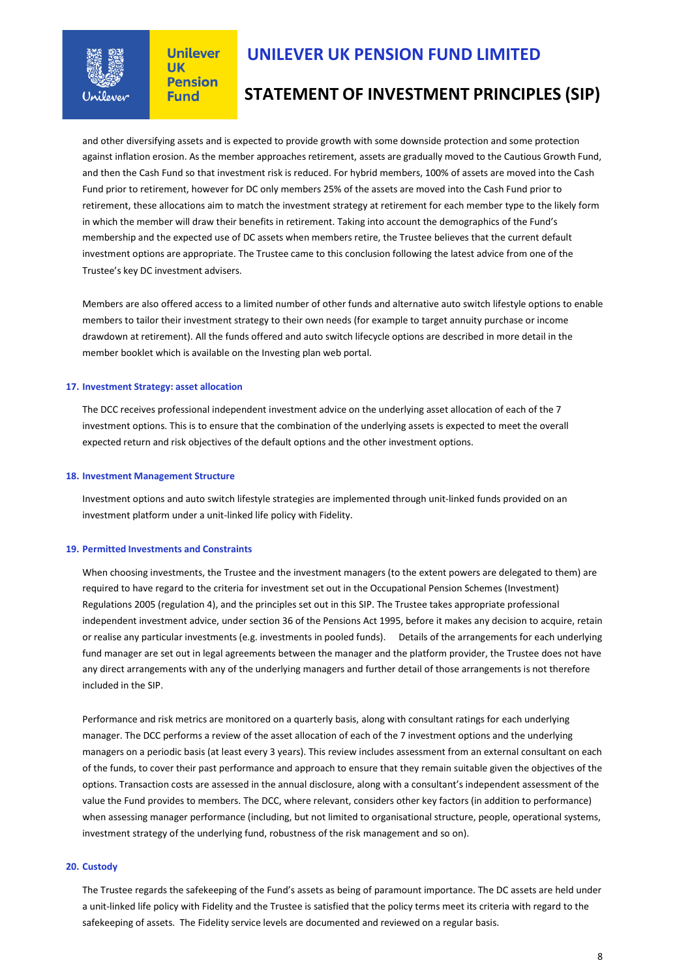

## **UNILEVER UK PENSION FUND LIMITED**

## **STATEMENT OF INVESTMENT PRINCIPLES (SIP)**

and other diversifying assets and is expected to provide growth with some downside protection and some protection against inflation erosion. As the member approaches retirement, assets are gradually moved to the Cautious Growth Fund, and then the Cash Fund so that investment risk is reduced. For hybrid members, 100% of assets are moved into the Cash Fund prior to retirement, however for DC only members 25% of the assets are moved into the Cash Fund prior to retirement, these allocations aim to match the investment strategy at retirement for each member type to the likely form in which the member will draw their benefits in retirement. Taking into account the demographics of the Fund's membership and the expected use of DC assets when members retire, the Trustee believes that the current default investment options are appropriate. The Trustee came to this conclusion following the latest advice from one of the Trustee's key DC investment advisers.

Members are also offered access to a limited number of other funds and alternative auto switch lifestyle options to enable members to tailor their investment strategy to their own needs (for example to target annuity purchase or income drawdown at retirement). All the funds offered and auto switch lifecycle options are described in more detail in the member booklet which is available on the Investing plan web portal.

### **17. Investment Strategy: asset allocation**

The DCC receives professional independent investment advice on the underlying asset allocation of each of the 7 investment options. This is to ensure that the combination of the underlying assets is expected to meet the overall expected return and risk objectives of the default options and the other investment options.

#### **18. Investment Management Structure**

Investment options and auto switch lifestyle strategies are implemented through unit-linked funds provided on an investment platform under a unit-linked life policy with Fidelity.

#### **19. Permitted Investments and Constraints**

When choosing investments, the Trustee and the investment managers (to the extent powers are delegated to them) are required to have regard to the criteria for investment set out in the Occupational Pension Schemes (Investment) Regulations 2005 (regulation 4), and the principles set out in this SIP. The Trustee takes appropriate professional independent investment advice, under section 36 of the Pensions Act 1995, before it makes any decision to acquire, retain or realise any particular investments (e.g. investments in pooled funds). Details of the arrangements for each underlying fund manager are set out in legal agreements between the manager and the platform provider, the Trustee does not have any direct arrangements with any of the underlying managers and further detail of those arrangements is not therefore included in the SIP.

Performance and risk metrics are monitored on a quarterly basis, along with consultant ratings for each underlying manager. The DCC performs a review of the asset allocation of each of the 7 investment options and the underlying managers on a periodic basis (at least every 3 years). This review includes assessment from an external consultant on each of the funds, to cover their past performance and approach to ensure that they remain suitable given the objectives of the options. Transaction costs are assessed in the annual disclosure, along with a consultant's independent assessment of the value the Fund provides to members. The DCC, where relevant, considers other key factors (in addition to performance) when assessing manager performance (including, but not limited to organisational structure, people, operational systems, investment strategy of the underlying fund, robustness of the risk management and so on).

#### **20. Custody**

The Trustee regards the safekeeping of the Fund's assets as being of paramount importance. The DC assets are held under a unit-linked life policy with Fidelity and the Trustee is satisfied that the policy terms meet its criteria with regard to the safekeeping of assets. The Fidelity service levels are documented and reviewed on a regular basis.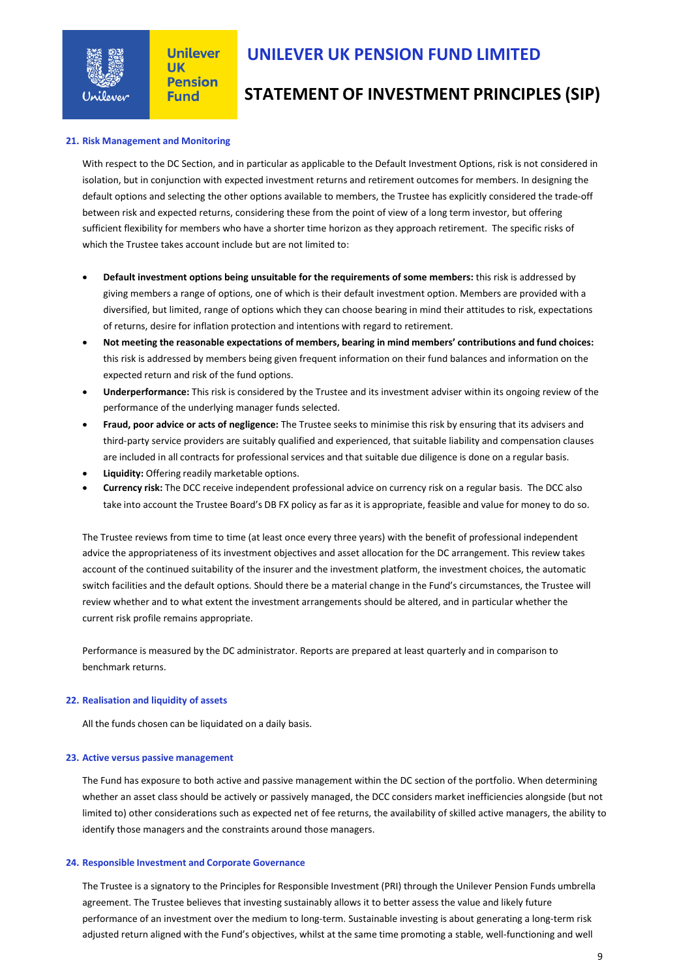

# **UNILEVER UK PENSION FUND LIMITED**

## **STATEMENT OF INVESTMENT PRINCIPLES (SIP)**

### **21. Risk Management and Monitoring**

With respect to the DC Section, and in particular as applicable to the Default Investment Options, risk is not considered in isolation, but in conjunction with expected investment returns and retirement outcomes for members. In designing the default options and selecting the other options available to members, the Trustee has explicitly considered the trade-off between risk and expected returns, considering these from the point of view of a long term investor, but offering sufficient flexibility for members who have a shorter time horizon as they approach retirement. The specific risks of which the Trustee takes account include but are not limited to:

- **Default investment options being unsuitable for the requirements of some members:** this risk is addressed by giving members a range of options, one of which is their default investment option. Members are provided with a diversified, but limited, range of options which they can choose bearing in mind their attitudes to risk, expectations of returns, desire for inflation protection and intentions with regard to retirement.
- **Not meeting the reasonable expectations of members, bearing in mind members' contributions and fund choices:** this risk is addressed by members being given frequent information on their fund balances and information on the expected return and risk of the fund options.
- **Underperformance:** This risk is considered by the Trustee and its investment adviser within its ongoing review of the performance of the underlying manager funds selected.
- **Fraud, poor advice or acts of negligence:** The Trustee seeks to minimise this risk by ensuring that its advisers and third-party service providers are suitably qualified and experienced, that suitable liability and compensation clauses are included in all contracts for professional services and that suitable due diligence is done on a regular basis.
- **Liquidity:** Offering readily marketable options.
- **Currency risk:** The DCC receive independent professional advice on currency risk on a regular basis. The DCC also take into account the Trustee Board's DB FX policy as far as it is appropriate, feasible and value for money to do so.

The Trustee reviews from time to time (at least once every three years) with the benefit of professional independent advice the appropriateness of its investment objectives and asset allocation for the DC arrangement. This review takes account of the continued suitability of the insurer and the investment platform, the investment choices, the automatic switch facilities and the default options. Should there be a material change in the Fund's circumstances, the Trustee will review whether and to what extent the investment arrangements should be altered, and in particular whether the current risk profile remains appropriate.

Performance is measured by the DC administrator. Reports are prepared at least quarterly and in comparison to benchmark returns.

#### **22. Realisation and liquidity of assets**

All the funds chosen can be liquidated on a daily basis.

#### **23. Active versus passive management**

The Fund has exposure to both active and passive management within the DC section of the portfolio. When determining whether an asset class should be actively or passively managed, the DCC considers market inefficiencies alongside (but not limited to) other considerations such as expected net of fee returns, the availability of skilled active managers, the ability to identify those managers and the constraints around those managers.

#### **24. Responsible Investment and Corporate Governance**

The Trustee is a signatory to the Principles for Responsible Investment (PRI) through the Unilever Pension Funds umbrella agreement. The Trustee believes that investing sustainably allows it to better assess the value and likely future performance of an investment over the medium to long-term. Sustainable investing is about generating a long-term risk adjusted return aligned with the Fund's objectives, whilst at the same time promoting a stable, well-functioning and well